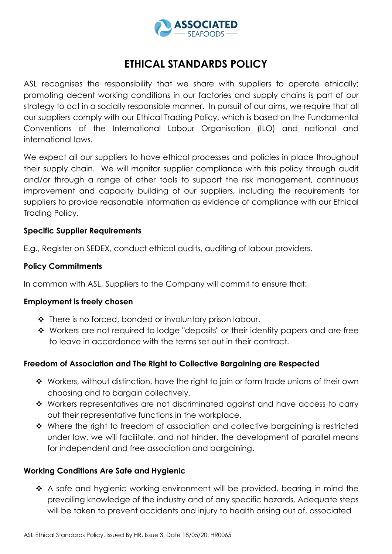

# **ETHICAL STANDARDS POLICY**

ASL recognises the responsibility that we share with suppliers to operate ethically; promoting decent working conditions in our factories and supply chains is part of our strategy to act in a socially responsible manner. In pursuit of our aims, we require that all our suppliers comply with our Ethical Trading Policy, which is based on the Fundamental Conventions of the International Labour Organisation (ILO) and national and international laws.

We expect all our suppliers to have ethical processes and policies in place throughout their supply chain. We will monitor supplier compliance with this policy through audit and/or through a range of other tools to support the risk management, continuous improvement and capacity building of our suppliers, including the requirements for suppliers to provide reasonable information as evidence of compliance with our Ethical Trading Policy.

## **Specific Supplier Requirements**

E.g., Register on SEDEX, conduct ethical audits, auditing of labour providers.

## **Policy Commitments**

In common with ASL, Suppliers to the Company will commit to ensure that:

## **Employment is freely chosen**

- ◆ There is no forced, bonded or involuntary prison labour.
- ◆ Workers are not required to lodge "deposits" or their identity papers and are free to leave in accordance with the terms set out in their contract.

# **Freedom of Association and The Right to Collective Bargaining are Respected**

- ◆ Workers, without distinction, have the right to join or form trade unions of their own choosing and to bargain collectively.
- Workers representatives are not discriminated against and have access to carry out their representative functions in the workplace.
- $\cdot$  Where the right to freedom of association and collective bargaining is restricted under law, we will facilitate, and not hinder, the development of parallel means for independent and free association and bargaining.

## **Working Conditions Are Safe and Hygienic**

\* A safe and hygienic working environment will be provided, bearing in mind the prevailing knowledge of the industry and of any specific hazards. Adequate steps will be taken to prevent accidents and injury to health arising out of, associated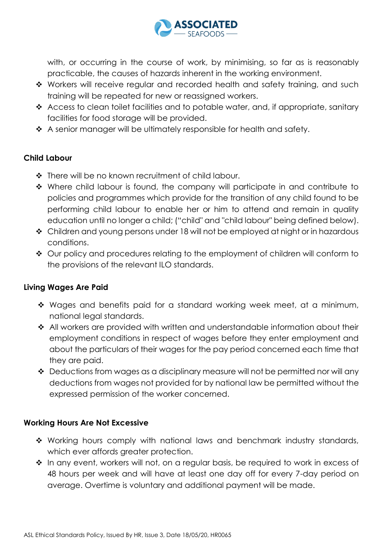

with, or occurring in the course of work, by minimising, so far as is reasonably practicable, the causes of hazards inherent in the working environment.

- \* Workers will receive regular and recorded health and safety training, and such training will be repeated for new or reassigned workers.
- Access to clean toilet facilities and to potable water, and, if appropriate, sanitary facilities for food storage will be provided.
- \* A senior manager will be ultimately responsible for health and safety.

# **Child Labour**

- ❖ There will be no known recruitment of child labour.
- Where child labour is found, the company will participate in and contribute to policies and programmes which provide for the transition of any child found to be performing child labour to enable her or him to attend and remain in quality education until no longer a child; ("child" and "child labour" being defined below).
- ◆ Children and young persons under 18 will not be employed at night or in hazardous conditions.
- Our policy and procedures relating to the employment of children will conform to the provisions of the relevant ILO standards.

# **Living Wages Are Paid**

- Wages and benefits paid for a standard working week meet, at a minimum, national legal standards.
- ◆ All workers are provided with written and understandable information about their employment conditions in respect of wages before they enter employment and about the particulars of their wages for the pay period concerned each time that they are paid.
- $\triangleleft$  Deductions from wages as a disciplinary measure will not be permitted nor will any deductions from wages not provided for by national law be permitted without the expressed permission of the worker concerned.

# **Working Hours Are Not Excessive**

- Working hours comply with national laws and benchmark industry standards, which ever affords greater protection.
- ❖ In any event, workers will not, on a regular basis, be required to work in excess of 48 hours per week and will have at least one day off for every 7-day period on average. Overtime is voluntary and additional payment will be made.